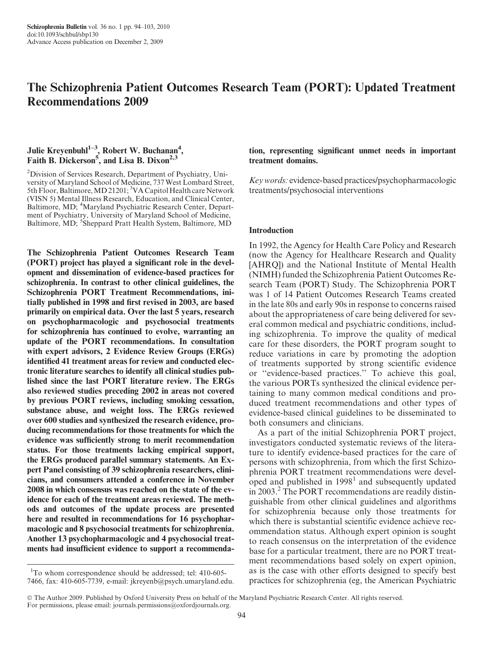# The Schizophrenia Patient Outcomes Research Team (PORT): Updated Treatment Recommendations 2009

# Julie Kreyenbuhl<sup>1-3</sup>, Robert W. Buchanan<sup>4</sup>, Faith B. Dickerson<sup>5</sup>, and Lisa B. Dixon<sup>2,3</sup>

<sup>2</sup>Division of Services Research, Department of Psychiatry, University of Maryland School of Medicine, 737 West Lombard Street, 5th Floor, Baltimore, MD 21201; <sup>3</sup>VA Capitol Health care Network (VISN 5) Mental Illness Research, Education, and Clinical Center, Baltimore, MD; <sup>4</sup>Maryland Psychiatric Research Center, Department of Psychiatry, University of Maryland School of Medicine, Baltimore, MD; <sup>5</sup>Sheppard Pratt Health System, Baltimore, MD

The Schizophrenia Patient Outcomes Research Team (PORT) project has played a significant role in the development and dissemination of evidence-based practices for schizophrenia. In contrast to other clinical guidelines, the Schizophrenia PORT Treatment Recommendations, initially published in 1998 and first revised in 2003, are based primarily on empirical data. Over the last 5 years, research on psychopharmacologic and psychosocial treatments for schizophrenia has continued to evolve, warranting an update of the PORT recommendations. In consultation with expert advisors, 2 Evidence Review Groups (ERGs) identified 41 treatment areas for review and conducted electronic literature searches to identify all clinical studies published since the last PORT literature review. The ERGs also reviewed studies preceding 2002 in areas not covered by previous PORT reviews, including smoking cessation, substance abuse, and weight loss. The ERGs reviewed over 600 studies and synthesized the research evidence, producing recommendations for those treatments for which the evidence was sufficiently strong to merit recommendation status. For those treatments lacking empirical support, the ERGs produced parallel summary statements. An Expert Panel consisting of 39 schizophrenia researchers, clinicians, and consumers attended a conference in November 2008 in which consensus was reached on the state of the evidence for each of the treatment areas reviewed. The methods and outcomes of the update process are presented here and resulted in recommendations for 16 psychopharmacologic and 8 psychosocial treatments for schizophrenia. Another 13 psychopharmacologic and 4 psychosocial treatments had insufficient evidence to support a recommendation, representing significant unmet needs in important treatment domains.

Keywords: evidence-based practices/psychopharmacologic treatments/psychosocial interventions

#### Introduction

In 1992, the Agency for Health Care Policy and Research (now the Agency for Healthcare Research and Quality [AHRQ]) and the National Institute of Mental Health (NIMH) funded the Schizophrenia Patient Outcomes Research Team (PORT) Study. The Schizophrenia PORT was 1 of 14 Patient Outcomes Research Teams created in the late 80s and early 90s in response to concerns raised about the appropriateness of care being delivered for several common medical and psychiatric conditions, including schizophrenia. To improve the quality of medical care for these disorders, the PORT program sought to reduce variations in care by promoting the adoption of treatments supported by strong scientific evidence or ''evidence-based practices.'' To achieve this goal, the various PORTs synthesized the clinical evidence pertaining to many common medical conditions and produced treatment recommendations and other types of evidence-based clinical guidelines to be disseminated to both consumers and clinicians.

As a part of the initial Schizophrenia PORT project, investigators conducted systematic reviews of the literature to identify evidence-based practices for the care of persons with schizophrenia, from which the first Schizophrenia PORT treatment recommendations were developed and published in  $1998<sup>1</sup>$  and subsequently updated in 2003.<sup>2</sup> The PORT recommendations are readily distinguishable from other clinical guidelines and algorithms for schizophrenia because only those treatments for which there is substantial scientific evidence achieve recommendation status. Although expert opinion is sought to reach consensus on the interpretation of the evidence base for a particular treatment, there are no PORT treatment recommendations based solely on expert opinion, as is the case with other efforts designed to specify best practices for schizophrenia (eg, the American Psychiatric

<sup>&</sup>lt;sup>1</sup>To whom correspondence should be addressed; tel: 410-605-7466, fax: 410-605-7739, e-mail: jkreyenb@psych.umaryland.edu.

The Author 2009. Published by Oxford University Press on behalf of the Maryland Psychiatric Research Center. All rights reserved. For permissions, please email: journals.permissions@oxfordjournals.org.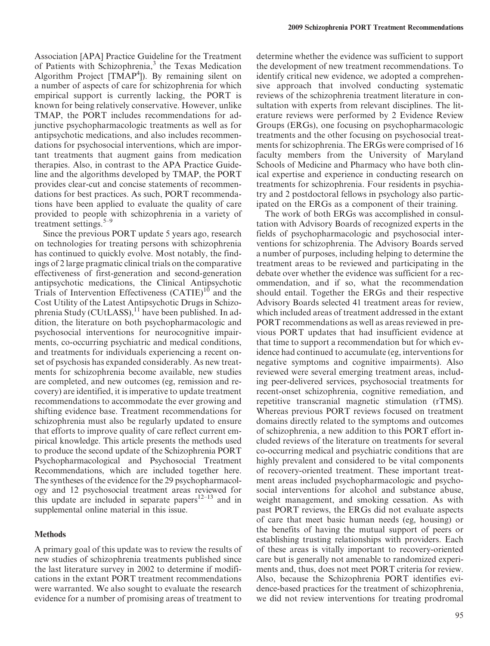Association [APA] Practice Guideline for the Treatment of Patients with Schizophrenia,<sup>3</sup> the Texas Medication Algorithm Project  $[TMAP<sup>4</sup>]$ ). By remaining silent on a number of aspects of care for schizophrenia for which empirical support is currently lacking, the PORT is known for being relatively conservative. However, unlike TMAP, the PORT includes recommendations for adjunctive psychopharmacologic treatments as well as for antipsychotic medications, and also includes recommendations for psychosocial interventions, which are important treatments that augment gains from medication therapies. Also, in contrast to the APA Practice Guideline and the algorithms developed by TMAP, the PORT provides clear-cut and concise statements of recommendations for best practices. As such, PORT recommendations have been applied to evaluate the quality of care provided to people with schizophrenia in a variety of treatment settings.<sup>5-9</sup>

Since the previous PORT update 5 years ago, research on technologies for treating persons with schizophrenia has continued to quickly evolve. Most notably, the findings of 2 large pragmatic clinical trials on the comparative effectiveness of first-generation and second-generation antipsychotic medications, the Clinical Antipsychotic Trials of Intervention Effectiveness  $(CATIE)^{10}$  and the Cost Utility of the Latest Antipsychotic Drugs in Schizophrenia Study (CUtLASS), $^{11}$  have been published. In addition, the literature on both psychopharmacologic and psychosocial interventions for neurocognitive impairments, co-occurring psychiatric and medical conditions, and treatments for individuals experiencing a recent onset of psychosis has expanded considerably. As new treatments for schizophrenia become available, new studies are completed, and new outcomes (eg, remission and recovery) are identified, it is imperative to update treatment recommendations to accommodate the ever growing and shifting evidence base. Treatment recommendations for schizophrenia must also be regularly updated to ensure that efforts to improve quality of care reflect current empirical knowledge. This article presents the methods used to produce the second update of the Schizophrenia PORT Psychopharmacological and Psychosocial Treatment Recommendations, which are included together here. The syntheses of the evidence for the 29 psychopharmacology and 12 psychosocial treatment areas reviewed for this update are included in separate papers $12-13$  and in <supplemental online material> in this issue.

#### Methods

A primary goal of this update was to review the results of new studies of schizophrenia treatments published since the last literature survey in 2002 to determine if modifications in the extant PORT treatment recommendations were warranted. We also sought to evaluate the research evidence for a number of promising areas of treatment to

determine whether the evidence was sufficient to support the development of new treatment recommendations. To identify critical new evidence, we adopted a comprehensive approach that involved conducting systematic reviews of the schizophrenia treatment literature in consultation with experts from relevant disciplines. The literature reviews were performed by 2 Evidence Review Groups (ERGs), one focusing on psychopharmacologic treatments and the other focusing on psychosocial treatments for schizophrenia. The ERGs were comprised of 16 faculty members from the University of Maryland Schools of Medicine and Pharmacy who have both clinical expertise and experience in conducting research on treatments for schizophrenia. Four residents in psychiatry and 2 postdoctoral fellows in psychology also participated on the ERGs as a component of their training.

The work of both ERGs was accomplished in consultation with Advisory Boards of recognized experts in the fields of psychopharmacologic and psychosocial interventions for schizophrenia. The Advisory Boards served a number of purposes, including helping to determine the treatment areas to be reviewed and participating in the debate over whether the evidence was sufficient for a recommendation, and if so, what the recommendation should entail. Together the ERGs and their respective Advisory Boards selected 41 treatment areas for review, which included areas of treatment addressed in the extant PORT recommendations as well as areas reviewed in previous PORT updates that had insufficient evidence at that time to support a recommendation but for which evidence had continued to accumulate (eg, interventions for negative symptoms and cognitive impairments). Also reviewed were several emerging treatment areas, including peer-delivered services, psychosocial treatments for recent-onset schizophrenia, cognitive remediation, and repetitive transcranial magnetic stimulation (rTMS). Whereas previous PORT reviews focused on treatment domains directly related to the symptoms and outcomes of schizophrenia, a new addition to this PORT effort included reviews of the literature on treatments for several co-occurring medical and psychiatric conditions that are highly prevalent and considered to be vital components of recovery-oriented treatment. These important treatment areas included psychopharmacologic and psychosocial interventions for alcohol and substance abuse, weight management, and smoking cessation. As with past PORT reviews, the ERGs did not evaluate aspects of care that meet basic human needs (eg, housing) or the benefits of having the mutual support of peers or establishing trusting relationships with providers. Each of these areas is vitally important to recovery-oriented care but is generally not amenable to randomized experiments and, thus, does not meet PORT criteria for review. Also, because the Schizophrenia PORT identifies evidence-based practices for the treatment of schizophrenia, we did not review interventions for treating prodromal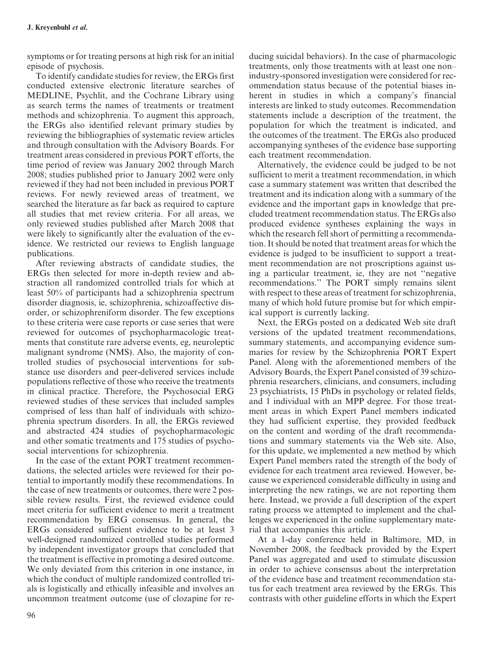symptoms or for treating persons at high risk for an initial episode of psychosis.

To identify candidate studies for review, the ERGs first conducted extensive electronic literature searches of MEDLINE, Psychlit, and the Cochrane Library using as search terms the names of treatments or treatment methods and schizophrenia. To augment this approach, the ERGs also identified relevant primary studies by reviewing the bibliographies of systematic review articles and through consultation with the Advisory Boards. For treatment areas considered in previous PORT efforts, the time period of review was January 2002 through March 2008; studies published prior to January 2002 were only reviewed if they had not been included in previous PORT reviews. For newly reviewed areas of treatment, we searched the literature as far back as required to capture all studies that met review criteria. For all areas, we only reviewed studies published after March 2008 that were likely to significantly alter the evaluation of the evidence. We restricted our reviews to English language publications.

After reviewing abstracts of candidate studies, the ERGs then selected for more in-depth review and abstraction all randomized controlled trials for which at least 50% of participants had a schizophrenia spectrum disorder diagnosis, ie, schizophrenia, schizoaffective disorder, or schizophreniform disorder. The few exceptions to these criteria were case reports or case series that were reviewed for outcomes of psychopharmacologic treatments that constitute rare adverse events, eg, neuroleptic malignant syndrome (NMS). Also, the majority of controlled studies of psychosocial interventions for substance use disorders and peer-delivered services include populations reflective of those who receive the treatments in clinical practice. Therefore, the Psychosocial ERG reviewed studies of these services that included samples comprised of less than half of individuals with schizophrenia spectrum disorders. In all, the ERGs reviewed and abstracted 424 studies of psychopharmacologic and other somatic treatments and 175 studies of psychosocial interventions for schizophrenia.

In the case of the extant PORT treatment recommendations, the selected articles were reviewed for their potential to importantly modify these recommendations. In the case of new treatments or outcomes, there were 2 possible review results. First, the reviewed evidence could meet criteria for sufficient evidence to merit a treatment recommendation by ERG consensus. In general, the ERGs considered sufficient evidence to be at least 3 well-designed randomized controlled studies performed by independent investigator groups that concluded that the treatment is effective in promoting a desired outcome. We only deviated from this criterion in one instance, in which the conduct of multiple randomized controlled trials is logistically and ethically infeasible and involves an uncommon treatment outcome (use of clozapine for reducing suicidal behaviors). In the case of pharmacologic treatments, only those treatments with at least one non– industry-sponsored investigation were considered for recommendation status because of the potential biases inherent in studies in which a company's financial interests are linked to study outcomes. Recommendation statements include a description of the treatment, the population for which the treatment is indicated, and the outcomes of the treatment. The ERGs also produced accompanying syntheses of the evidence base supporting each treatment recommendation.

Alternatively, the evidence could be judged to be not sufficient to merit a treatment recommendation, in which case a summary statement was written that described the treatment and its indication along with a summary of the evidence and the important gaps in knowledge that precluded treatment recommendation status. The ERGs also produced evidence syntheses explaining the ways in which the research fell short of permitting a recommendation. It should be noted that treatment areas for which the evidence is judged to be insufficient to support a treatment recommendation are not proscriptions against using a particular treatment, ie, they are not ''negative recommendations.'' The PORT simply remains silent with respect to these areas of treatment for schizophrenia, many of which hold future promise but for which empirical support is currently lacking.

Next, the ERGs posted on a dedicated Web site draft versions of the updated treatment recommendations, summary statements, and accompanying evidence summaries for review by the Schizophrenia PORT Expert Panel. Along with the aforementioned members of the Advisory Boards, the Expert Panel consisted of 39 schizophrenia researchers, clinicians, and consumers, including 23 psychiatrists, 15 PhDs in psychology or related fields, and 1 individual with an MPP degree. For those treatment areas in which Expert Panel members indicated they had sufficient expertise, they provided feedback on the content and wording of the draft recommendations and summary statements via the Web site. Also, for this update, we implemented a new method by which Expert Panel members rated the strength of the body of evidence for each treatment area reviewed. However, because we experienced considerable difficulty in using and interpreting the new ratings, we are not reporting them here. Instead, we provide a full description of the expert rating process we attempted to implement and the challenges we experienced in the online [supplementary mate](supplementary material)[rial](supplementary material) that accompanies this article.

At a 1-day conference held in Baltimore, MD, in November 2008, the feedback provided by the Expert Panel was aggregated and used to stimulate discussion in order to achieve consensus about the interpretation of the evidence base and treatment recommendation status for each treatment area reviewed by the ERGs. This contrasts with other guideline efforts in which the Expert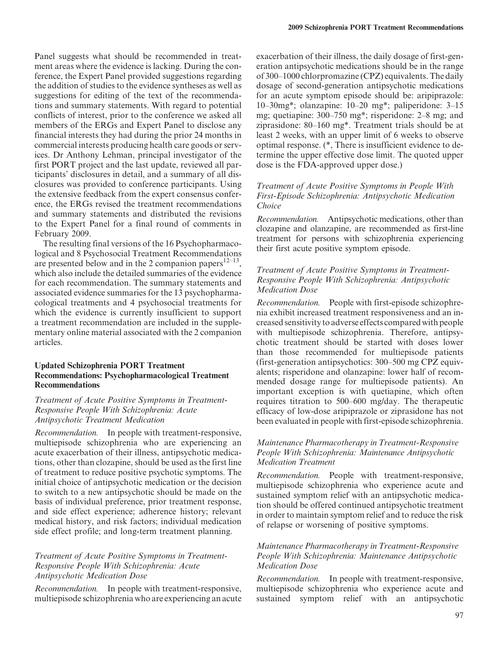Panel suggests what should be recommended in treatment areas where the evidence is lacking. During the conference, the Expert Panel provided suggestions regarding the addition of studies to the evidence syntheses as well as suggestions for editing of the text of the recommendations and summary statements. With regard to potential conflicts of interest, prior to the conference we asked all members of the ERGs and Expert Panel to disclose any financial interests they had during the prior 24 months in commercial interests producing health care goods or services. Dr Anthony Lehman, principal investigator of the first PORT project and the last update, reviewed all participants' disclosures in detail, and a summary of all disclosures was provided to conference participants. Using the extensive feedback from the expert consensus conference, the ERGs revised the treatment recommendations and summary statements and distributed the revisions to the Expert Panel for a final round of comments in February 2009.

The resulting final versions of the 16 Psychopharmacological and 8 Psychosocial Treatment Recommendations are presented below and in the 2 companion papers $12-13$ , which also include the detailed summaries of the evidence for each recommendation. The summary statements and associated evidence summaries for the 13 psychopharmacological treatments and 4 psychosocial treatments for which the evidence is currently insufficient to support a treatment recommendation are included in the [supple](supplementary online material)[mentary online material](supplementary online material) associated with the 2 companion articles.

#### Updated Schizophrenia PORT Treatment Recommendations: Psychopharmacological Treatment Recommendations

Treatment of Acute Positive Symptoms in Treatment-Responsive People With Schizophrenia: Acute Antipsychotic Treatment Medication

Recommendation. In people with treatment-responsive, multiepisode schizophrenia who are experiencing an acute exacerbation of their illness, antipsychotic medications, other than clozapine, should be used as the first line of treatment to reduce positive psychotic symptoms. The initial choice of antipsychotic medication or the decision to switch to a new antipsychotic should be made on the basis of individual preference, prior treatment response, and side effect experience; adherence history; relevant medical history, and risk factors; individual medication side effect profile; and long-term treatment planning.

## Treatment of Acute Positive Symptoms in Treatment-Responsive People With Schizophrenia: Acute Antipsychotic Medication Dose

Recommendation. In people with treatment-responsive, multiepisode schizophrenia who are experiencing an acute exacerbation of their illness, the daily dosage of first-generation antipsychotic medications should be in the range of 300–1000 chlorpromazine (CPZ) equivalents. The daily dosage of second-generation antipsychotic medications for an acute symptom episode should be: aripiprazole: 10–30mg\*; olanzapine: 10–20 mg\*; paliperidone: 3–15 mg; quetiapine: 300–750 mg\*; risperidone: 2–8 mg; and ziprasidone: 80–160 mg\*. Treatment trials should be at least 2 weeks, with an upper limit of 6 weeks to observe optimal response. (\*, There is insufficient evidence to determine the upper effective dose limit. The quoted upper dose is the FDA-approved upper dose.)

## Treatment of Acute Positive Symptoms in People With First-Episode Schizophrenia: Antipsychotic Medication **Choice**

Recommendation. Antipsychotic medications, other than clozapine and olanzapine, are recommended as first-line treatment for persons with schizophrenia experiencing their first acute positive symptom episode.

## Treatment of Acute Positive Symptoms in Treatment-Responsive People With Schizophrenia: Antipsychotic Medication Dose

Recommendation. People with first-episode schizophrenia exhibit increased treatment responsiveness and an increased sensitivity to adverse effects compared with people with multiepisode schizophrenia. Therefore, antipsychotic treatment should be started with doses lower than those recommended for multiepisode patients (first-generation antipsychotics: 300–500 mg CPZ equivalents; risperidone and olanzapine: lower half of recommended dosage range for multiepisode patients). An important exception is with quetiapine, which often requires titration to 500–600 mg/day. The therapeutic efficacy of low-dose aripiprazole or ziprasidone has not been evaluated in people with first-episode schizophrenia.

### Maintenance Pharmacotherapy in Treatment-Responsive People With Schizophrenia: Maintenance Antipsychotic Medication Treatment

Recommendation. People with treatment-responsive, multiepisode schizophrenia who experience acute and sustained symptom relief with an antipsychotic medication should be offered continued antipsychotic treatment in order to maintain symptom relief and to reduce the risk of relapse or worsening of positive symptoms.

## Maintenance Pharmacotherapy in Treatment-Responsive People With Schizophrenia: Maintenance Antipsychotic Medication Dose

Recommendation. In people with treatment-responsive, multiepisode schizophrenia who experience acute and sustained symptom relief with an antipsychotic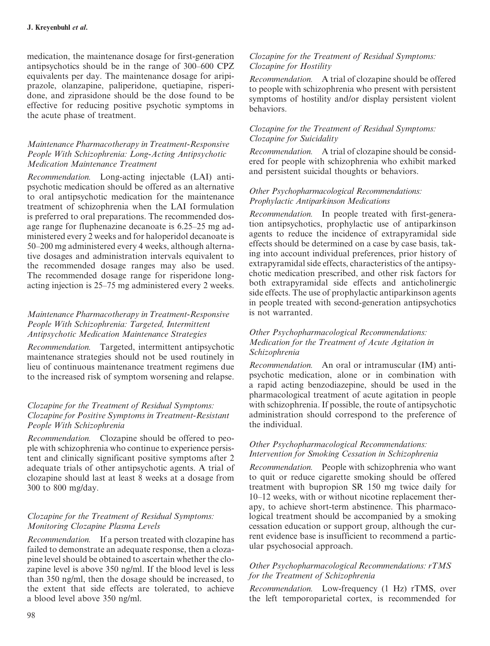medication, the maintenance dosage for first-generation antipsychotics should be in the range of 300–600 CPZ equivalents per day. The maintenance dosage for aripiprazole, olanzapine, paliperidone, quetiapine, risperidone, and ziprasidone should be the dose found to be effective for reducing positive psychotic symptoms in the acute phase of treatment.

# Maintenance Pharmacotherapy in Treatment-Responsive People With Schizophrenia: Long-Acting Antipsychotic Medication Maintenance Treatment

Recommendation. Long-acting injectable (LAI) antipsychotic medication should be offered as an alternative to oral antipsychotic medication for the maintenance treatment of schizophrenia when the LAI formulation is preferred to oral preparations. The recommended dosage range for fluphenazine decanoate is 6.25–25 mg administered every 2 weeks and for haloperidol decanoate is 50–200 mg administered every 4 weeks, although alternative dosages and administration intervals equivalent to the recommended dosage ranges may also be used. The recommended dosage range for risperidone longacting injection is 25–75 mg administered every 2 weeks.

#### Maintenance Pharmacotherapy in Treatment-Responsive People With Schizophrenia: Targeted, Intermittent Antipsychotic Medication Maintenance Strategies

Recommendation. Targeted, intermittent antipsychotic maintenance strategies should not be used routinely in lieu of continuous maintenance treatment regimens due to the increased risk of symptom worsening and relapse.

## Clozapine for the Treatment of Residual Symptoms: Clozapine for Positive Symptoms in Treatment-Resistant People With Schizophrenia

Recommendation. Clozapine should be offered to people with schizophrenia who continue to experience persistent and clinically significant positive symptoms after 2 adequate trials of other antipsychotic agents. A trial of clozapine should last at least 8 weeks at a dosage from 300 to 800 mg/day.

# Clozapine for the Treatment of Residual Symptoms: Monitoring Clozapine Plasma Levels

Recommendation. If a person treated with clozapine has failed to demonstrate an adequate response, then a clozapine level should be obtained to ascertain whether the clozapine level is above 350 ng/ml. If the blood level is less than 350 ng/ml, then the dosage should be increased, to the extent that side effects are tolerated, to achieve a blood level above 350 ng/ml.

# Clozapine for the Treatment of Residual Symptoms: Clozapine for Hostility

Recommendation. A trial of clozapine should be offered to people with schizophrenia who present with persistent symptoms of hostility and/or display persistent violent behaviors.

## Clozapine for the Treatment of Residual Symptoms: Clozapine for Suicidality

Recommendation. A trial of clozapine should be considered for people with schizophrenia who exhibit marked and persistent suicidal thoughts or behaviors.

## Other Psychopharmacological Recommendations: Prophylactic Antiparkinson Medications

Recommendation. In people treated with first-generation antipsychotics, prophylactic use of antiparkinson agents to reduce the incidence of extrapyramidal side effects should be determined on a case by case basis, taking into account individual preferences, prior history of extrapyramidal side effects, characteristics of the antipsychotic medication prescribed, and other risk factors for both extrapyramidal side effects and anticholinergic side effects. The use of prophylactic antiparkinson agents in people treated with second-generation antipsychotics is not warranted.

## Other Psychopharmacological Recommendations: Medication for the Treatment of Acute Agitation in Schizophrenia

Recommendation. An oral or intramuscular (IM) antipsychotic medication, alone or in combination with a rapid acting benzodiazepine, should be used in the pharmacological treatment of acute agitation in people with schizophrenia. If possible, the route of antipsychotic administration should correspond to the preference of the individual.

## Other Psychopharmacological Recommendations: Intervention for Smoking Cessation in Schizophrenia

Recommendation. People with schizophrenia who want to quit or reduce cigarette smoking should be offered treatment with bupropion SR 150 mg twice daily for 10–12 weeks, with or without nicotine replacement therapy, to achieve short-term abstinence. This pharmacological treatment should be accompanied by a smoking cessation education or support group, although the current evidence base is insufficient to recommend a particular psychosocial approach.

## Other Psychopharmacological Recommendations: rTMS for the Treatment of Schizophrenia

Recommendation. Low-frequency (1 Hz) rTMS, over the left temporoparietal cortex, is recommended for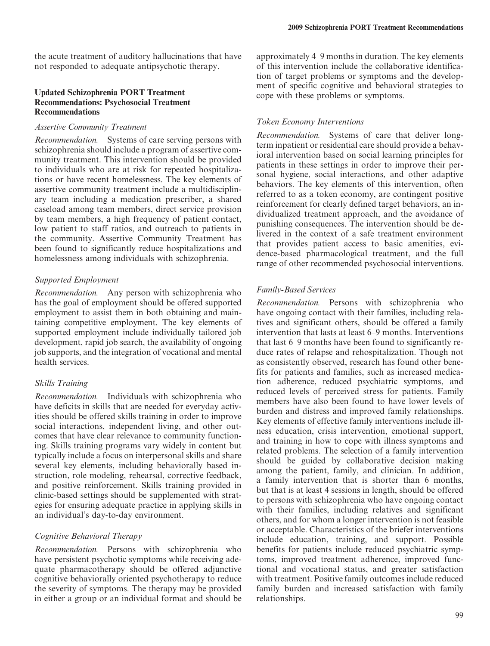the acute treatment of auditory hallucinations that have not responded to adequate antipsychotic therapy.

#### Updated Schizophrenia PORT Treatment Recommendations: Psychosocial Treatment Recommendations

#### Assertive Community Treatment

Recommendation. Systems of care serving persons with schizophrenia should include a program of assertive community treatment. This intervention should be provided to individuals who are at risk for repeated hospitalizations or have recent homelessness. The key elements of assertive community treatment include a multidisciplinary team including a medication prescriber, a shared caseload among team members, direct service provision by team members, a high frequency of patient contact, low patient to staff ratios, and outreach to patients in the community. Assertive Community Treatment has been found to significantly reduce hospitalizations and homelessness among individuals with schizophrenia.

#### Supported Employment

Recommendation. Any person with schizophrenia who has the goal of employment should be offered supported employment to assist them in both obtaining and maintaining competitive employment. The key elements of supported employment include individually tailored job development, rapid job search, the availability of ongoing job supports, and the integration of vocational and mental health services.

#### Skills Training

Recommendation. Individuals with schizophrenia who have deficits in skills that are needed for everyday activities should be offered skills training in order to improve social interactions, independent living, and other outcomes that have clear relevance to community functioning. Skills training programs vary widely in content but typically include a focus on interpersonal skills and share several key elements, including behaviorally based instruction, role modeling, rehearsal, corrective feedback, and positive reinforcement. Skills training provided in clinic-based settings should be supplemented with strategies for ensuring adequate practice in applying skills in an individual's day-to-day environment.

#### Cognitive Behavioral Therapy

Recommendation. Persons with schizophrenia who have persistent psychotic symptoms while receiving adequate pharmacotherapy should be offered adjunctive cognitive behaviorally oriented psychotherapy to reduce the severity of symptoms. The therapy may be provided in either a group or an individual format and should be approximately 4–9 months in duration. The key elements of this intervention include the collaborative identification of target problems or symptoms and the development of specific cognitive and behavioral strategies to cope with these problems or symptoms.

#### Token Economy Interventions

Recommendation. Systems of care that deliver longterm inpatient or residential care should provide a behavioral intervention based on social learning principles for patients in these settings in order to improve their personal hygiene, social interactions, and other adaptive behaviors. The key elements of this intervention, often referred to as a token economy, are contingent positive reinforcement for clearly defined target behaviors, an individualized treatment approach, and the avoidance of punishing consequences. The intervention should be delivered in the context of a safe treatment environment that provides patient access to basic amenities, evidence-based pharmacological treatment, and the full range of other recommended psychosocial interventions.

## Family-Based Services

Recommendation. Persons with schizophrenia who have ongoing contact with their families, including relatives and significant others, should be offered a family intervention that lasts at least 6–9 months. Interventions that last 6–9 months have been found to significantly reduce rates of relapse and rehospitalization. Though not as consistently observed, research has found other benefits for patients and families, such as increased medication adherence, reduced psychiatric symptoms, and reduced levels of perceived stress for patients. Family members have also been found to have lower levels of burden and distress and improved family relationships. Key elements of effective family interventions include illness education, crisis intervention, emotional support, and training in how to cope with illness symptoms and related problems. The selection of a family intervention should be guided by collaborative decision making among the patient, family, and clinician. In addition, a family intervention that is shorter than 6 months, but that is at least 4 sessions in length, should be offered to persons with schizophrenia who have ongoing contact with their families, including relatives and significant others, and for whom a longer intervention is not feasible or acceptable. Characteristics of the briefer interventions include education, training, and support. Possible benefits for patients include reduced psychiatric symptoms, improved treatment adherence, improved functional and vocational status, and greater satisfaction with treatment. Positive family outcomes include reduced family burden and increased satisfaction with family relationships.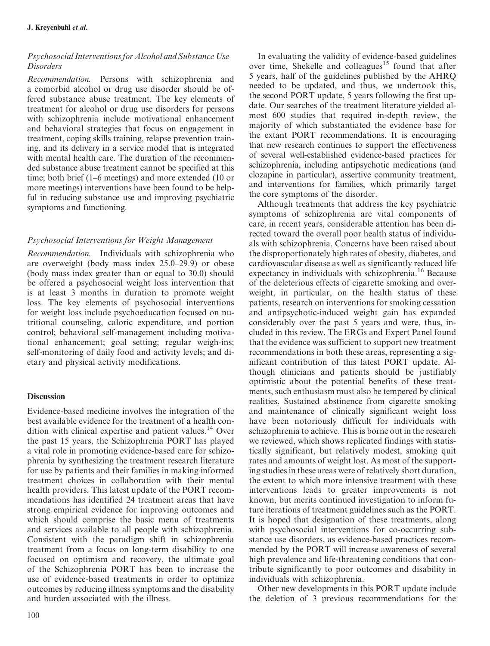# Psychosocial Interventions for Alcohol and Substance Use **Disorders**

Recommendation. Persons with schizophrenia and a comorbid alcohol or drug use disorder should be offered substance abuse treatment. The key elements of treatment for alcohol or drug use disorders for persons with schizophrenia include motivational enhancement and behavioral strategies that focus on engagement in treatment, coping skills training, relapse prevention training, and its delivery in a service model that is integrated with mental health care. The duration of the recommended substance abuse treatment cannot be specified at this time; both brief (1–6 meetings) and more extended (10 or more meetings) interventions have been found to be helpful in reducing substance use and improving psychiatric symptoms and functioning.

# Psychosocial Interventions for Weight Management

Recommendation. Individuals with schizophrenia who are overweight (body mass index 25.0–29.9) or obese (body mass index greater than or equal to 30.0) should be offered a psychosocial weight loss intervention that is at least 3 months in duration to promote weight loss. The key elements of psychosocial interventions for weight loss include psychoeducation focused on nutritional counseling, caloric expenditure, and portion control; behavioral self-management including motivational enhancement; goal setting; regular weigh-ins; self-monitoring of daily food and activity levels; and dietary and physical activity modifications.

#### **Discussion**

Evidence-based medicine involves the integration of the best available evidence for the treatment of a health condition with clinical expertise and patient values.<sup>14</sup> Over the past 15 years, the Schizophrenia PORT has played a vital role in promoting evidence-based care for schizophrenia by synthesizing the treatment research literature for use by patients and their families in making informed treatment choices in collaboration with their mental health providers. This latest update of the PORT recommendations has identified 24 treatment areas that have strong empirical evidence for improving outcomes and which should comprise the basic menu of treatments and services available to all people with schizophrenia. Consistent with the paradigm shift in schizophrenia treatment from a focus on long-term disability to one focused on optimism and recovery, the ultimate goal of the Schizophrenia PORT has been to increase the use of evidence-based treatments in order to optimize outcomes by reducing illness symptoms and the disability and burden associated with the illness.

In evaluating the validity of evidence-based guidelines over time, Shekelle and colleagues<sup>15</sup> found that after 5 years, half of the guidelines published by the AHRQ needed to be updated, and thus, we undertook this, the second PORT update, 5 years following the first update. Our searches of the treatment literature yielded almost 600 studies that required in-depth review, the majority of which substantiated the evidence base for the extant PORT recommendations. It is encouraging that new research continues to support the effectiveness of several well-established evidence-based practices for schizophrenia, including antipsychotic medications (and clozapine in particular), assertive community treatment, and interventions for families, which primarily target the core symptoms of the disorder.

Although treatments that address the key psychiatric symptoms of schizophrenia are vital components of care, in recent years, considerable attention has been directed toward the overall poor health status of individuals with schizophrenia. Concerns have been raised about the disproportionately high rates of obesity, diabetes, and cardiovascular disease as well as significantly reduced life expectancy in individuals with schizophrenia.<sup>16</sup> Because of the deleterious effects of cigarette smoking and overweight, in particular, on the health status of these patients, research on interventions for smoking cessation and antipsychotic-induced weight gain has expanded considerably over the past 5 years and were, thus, included in this review. The ERGs and Expert Panel found that the evidence was sufficient to support new treatment recommendations in both these areas, representing a significant contribution of this latest PORT update. Although clinicians and patients should be justifiably optimistic about the potential benefits of these treatments, such enthusiasm must also be tempered by clinical realities. Sustained abstinence from cigarette smoking and maintenance of clinically significant weight loss have been notoriously difficult for individuals with schizophrenia to achieve. This is borne out in the research we reviewed, which shows replicated findings with statistically significant, but relatively modest, smoking quit rates and amounts of weight lost. As most of the supporting studies in these areas were of relatively short duration, the extent to which more intensive treatment with these interventions leads to greater improvements is not known, but merits continued investigation to inform future iterations of treatment guidelines such as the PORT. It is hoped that designation of these treatments, along with psychosocial interventions for co-occurring substance use disorders, as evidence-based practices recommended by the PORT will increase awareness of several high prevalence and life-threatening conditions that contribute significantly to poor outcomes and disability in individuals with schizophrenia.

Other new developments in this PORT update include the deletion of 3 previous recommendations for the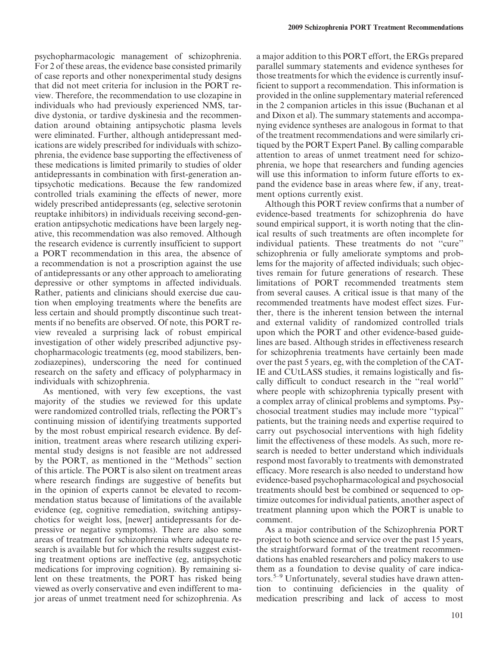psychopharmacologic management of schizophrenia. For 2 of these areas, the evidence base consisted primarily of case reports and other nonexperimental study designs that did not meet criteria for inclusion in the PORT review. Therefore, the recommendation to use clozapine in individuals who had previously experienced NMS, tardive dystonia, or tardive dyskinesia and the recommendation around obtaining antipsychotic plasma levels were eliminated. Further, although antidepressant medications are widely prescribed for individuals with schizophrenia, the evidence base supporting the effectiveness of these medications is limited primarily to studies of older antidepressants in combination with first-generation antipsychotic medications. Because the few randomized controlled trials examining the effects of newer, more widely prescribed antidepressants (eg, selective serotonin reuptake inhibitors) in individuals receiving second-generation antipsychotic medications have been largely negative, this recommendation was also removed. Although the research evidence is currently insufficient to support a PORT recommendation in this area, the absence of a recommendation is not a proscription against the use of antidepressants or any other approach to ameliorating depressive or other symptoms in affected individuals. Rather, patients and clinicians should exercise due caution when employing treatments where the benefits are less certain and should promptly discontinue such treatments if no benefits are observed. Of note, this PORT review revealed a surprising lack of robust empirical investigation of other widely prescribed adjunctive psychopharmacologic treatments (eg, mood stabilizers, benzodiazepines), underscoring the need for continued research on the safety and efficacy of polypharmacy in individuals with schizophrenia.

As mentioned, with very few exceptions, the vast majority of the studies we reviewed for this update were randomized controlled trials, reflecting the PORT's continuing mission of identifying treatments supported by the most robust empirical research evidence. By definition, treatment areas where research utilizing experimental study designs is not feasible are not addressed by the PORT, as mentioned in the ''Methods'' section of this article. The PORT is also silent on treatment areas where research findings are suggestive of benefits but in the opinion of experts cannot be elevated to recommendation status because of limitations of the available evidence (eg, cognitive remediation, switching antipsychotics for weight loss, [newer] antidepressants for depressive or negative symptoms). There are also some areas of treatment for schizophrenia where adequate research is available but for which the results suggest existing treatment options are ineffective (eg, antipsychotic medications for improving cognition). By remaining silent on these treatments, the PORT has risked being viewed as overly conservative and even indifferent to major areas of unmet treatment need for schizophrenia. As a major addition to this PORT effort, the ERGs prepared parallel summary statements and evidence syntheses for those treatments for which the evidence is currently insufficient to support a recommendation. This information is provided in the online<supplementary material> referenced in the 2 companion articles in this issue (Buchanan et al and Dixon et al). The summary statements and accompanying evidence syntheses are analogous in format to that of the treatment recommendations and were similarly critiqued by the PORT Expert Panel. By calling comparable attention to areas of unmet treatment need for schizophrenia, we hope that researchers and funding agencies will use this information to inform future efforts to expand the evidence base in areas where few, if any, treatment options currently exist.

Although this PORT review confirms that a number of evidence-based treatments for schizophrenia do have sound empirical support, it is worth noting that the clinical results of such treatments are often incomplete for individual patients. These treatments do not ''cure'' schizophrenia or fully ameliorate symptoms and problems for the majority of affected individuals; such objectives remain for future generations of research. These limitations of PORT recommended treatments stem from several causes. A critical issue is that many of the recommended treatments have modest effect sizes. Further, there is the inherent tension between the internal and external validity of randomized controlled trials upon which the PORT and other evidence-based guidelines are based. Although strides in effectiveness research for schizophrenia treatments have certainly been made over the past 5 years, eg, with the completion of the CAT-IE and CUtLASS studies, it remains logistically and fiscally difficult to conduct research in the ''real world'' where people with schizophrenia typically present with a complex array of clinical problems and symptoms. Psychosocial treatment studies may include more ''typical'' patients, but the training needs and expertise required to carry out psychosocial interventions with high fidelity limit the effectiveness of these models. As such, more research is needed to better understand which individuals respond most favorably to treatments with demonstrated efficacy. More research is also needed to understand how evidence-based psychopharmacological and psychosocial treatments should best be combined or sequenced to optimize outcomes for individual patients, another aspect of treatment planning upon which the PORT is unable to comment.

As a major contribution of the Schizophrenia PORT project to both science and service over the past 15 years, the straightforward format of the treatment recommendations has enabled researchers and policy makers to use them as a foundation to devise quality of care indicators.<sup>5–9</sup> Unfortunately, several studies have drawn attention to continuing deficiencies in the quality of medication prescribing and lack of access to most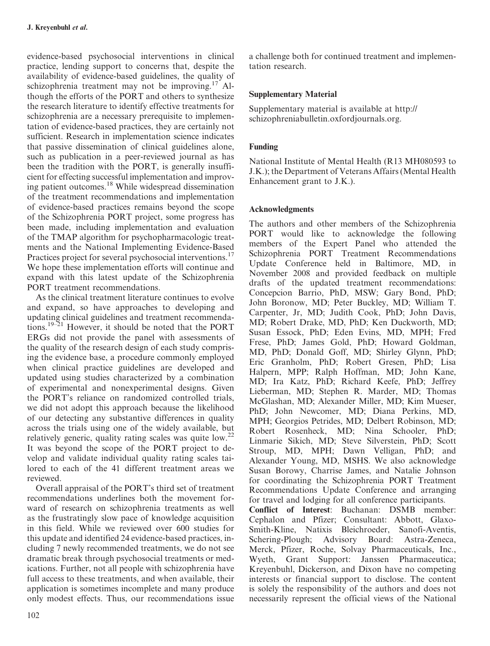evidence-based psychosocial interventions in clinical practice, lending support to concerns that, despite the availability of evidence-based guidelines, the quality of schizophrenia treatment may not be improving.<sup>17</sup> Although the efforts of the PORT and others to synthesize the research literature to identify effective treatments for schizophrenia are a necessary prerequisite to implementation of evidence-based practices, they are certainly not sufficient. Research in implementation science indicates that passive dissemination of clinical guidelines alone, such as publication in a peer-reviewed journal as has been the tradition with the PORT, is generally insufficient for effecting successful implementation and improving patient outcomes.18 While widespread dissemination of the treatment recommendations and implementation of evidence-based practices remains beyond the scope of the Schizophrenia PORT project, some progress has been made, including implementation and evaluation of the TMAP algorithm for psychopharmacologic treatments and the National Implementing Evidence-Based Practices project for several psychosocial interventions.<sup>17</sup> We hope these implementation efforts will continue and expand with this latest update of the Schizophrenia PORT treatment recommendations.

As the clinical treatment literature continues to evolve and expand, so have approaches to developing and updating clinical guidelines and treatment recommendations.<sup>19–21</sup> However, it should be noted that the PORT ERGs did not provide the panel with assessments of the quality of the research design of each study comprising the evidence base, a procedure commonly employed when clinical practice guidelines are developed and updated using studies characterized by a combination of experimental and nonexperimental designs. Given the PORT's reliance on randomized controlled trials, we did not adopt this approach because the likelihood of our detecting any substantive differences in quality across the trials using one of the widely available, but relatively generic, quality rating scales was quite low.<sup>22</sup> It was beyond the scope of the PORT project to develop and validate individual quality rating scales tailored to each of the 41 different treatment areas we reviewed.

Overall appraisal of the PORT's third set of treatment recommendations underlines both the movement forward of research on schizophrenia treatments as well as the frustratingly slow pace of knowledge acquisition in this field. While we reviewed over 600 studies for this update and identified 24 evidence-based practices, including 7 newly recommended treatments, we do not see dramatic break through psychosocial treatments or medications. Further, not all people with schizophrenia have full access to these treatments, and when available, their application is sometimes incomplete and many produce only modest effects. Thus, our recommendations issue a challenge both for continued treatment and implementation research.

# Supplementary Material

<Supplementary material> is available at [http://](http://schizophreniabulletin.oxfordjourn) [schizophreniabulletin.oxfordjourn](http://schizophreniabulletin.oxfordjourn)als.org.

# Funding

National Institute of Mental Health (R13 MH080593 to J.K.); the Department of Veterans Affairs (Mental Health Enhancement grant to J.K.).

# Acknowledgments

The authors and other members of the Schizophrenia PORT would like to acknowledge the following members of the Expert Panel who attended the Schizophrenia PORT Treatment Recommendations Update Conference held in Baltimore, MD, in November 2008 and provided feedback on multiple drafts of the updated treatment recommendations: Concepcion Barrio, PhD, MSW; Gary Bond, PhD; John Boronow, MD; Peter Buckley, MD; William T. Carpenter, Jr, MD; Judith Cook, PhD; John Davis, MD; Robert Drake, MD, PhD; Ken Duckworth, MD; Susan Essock, PhD; Eden Evins, MD, MPH; Fred Frese, PhD; James Gold, PhD; Howard Goldman, MD, PhD; Donald Goff, MD; Shirley Glynn, PhD; Eric Granholm, PhD; Robert Gresen, PhD; Lisa Halpern, MPP; Ralph Hoffman, MD; John Kane, MD; Ira Katz, PhD; Richard Keefe, PhD; Jeffrey Lieberman, MD; Stephen R. Marder, MD; Thomas McGlashan, MD; Alexander Miller, MD; Kim Mueser, PhD; John Newcomer, MD; Diana Perkins, MD, MPH; Georgios Petrides, MD; Delbert Robinson, MD; Robert Rosenheck, MD; Nina Schooler, PhD; Linmarie Sikich, MD; Steve Silverstein, PhD; Scott Stroup, MD, MPH; Dawn Velligan, PhD; and Alexander Young, MD, MSHS. We also acknowledge Susan Borowy, Charrise James, and Natalie Johnson for coordinating the Schizophrenia PORT Treatment Recommendations Update Conference and arranging for travel and lodging for all conference participants.

Conflict of Interest: Buchanan: DSMB member: Cephalon and Pfizer; Consultant: Abbott, Glaxo-Smith-Kline, Natixis Bleichroeder, Sanofi-Aventis, Schering-Plough; Advisory Board: Astra-Zeneca, Merck, Pfizer, Roche, Solvay Pharmaceuticals, Inc., Wyeth, Grant Support: Janssen Pharmaceutica; Kreyenbuhl, Dickerson, and Dixon have no competing interests or financial support to disclose. The content is solely the responsibility of the authors and does not necessarily represent the official views of the National